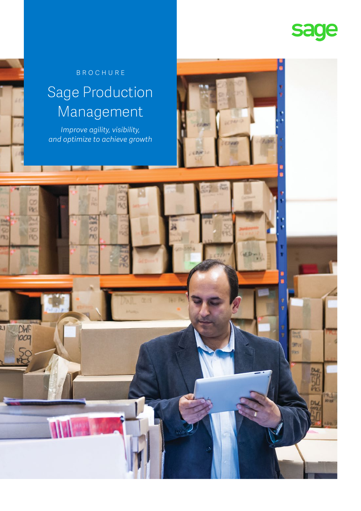

R.

ED-

### BROCHURE

### Sage Production Management

*Improve agility, visibility, and optimize to achieve growth*

> asi 50  $P(0)$

Vk.

 $\frac{DMF}{1009}$ 

 $rac{5}{2}$ 

m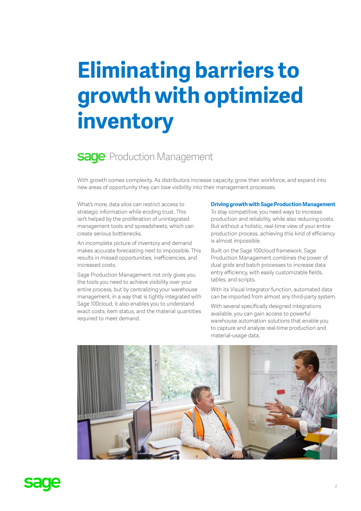# **Eliminating barriers to growth with optimized inventory**

### **Sage** Production Management

With growth comes complexity. As distributors increase capacity, grow their workforce, and expand into new areas of opportunity they can lose visibility into their management processes.

What's more, data silos can restrict access to strategic information while eroding trust. This isn't helped by the proliferation of unintegrated management tools and spreadsheets, which can create serious bottlenecks.

An incomplete picture of inventory and demand makes accurate forecasting next to impossible. This results in missed opportunities, inefficiencies, and increased costs.

Sage Production Management not only gives you the tools you need to achieve visibility over your entire process, but by centralizing your warehouse management, in a way that is tightly integrated with Sage 100cloud, it also enables you to understand exact costs, item status, and the material quantities required to meet demand.

#### **Driving growth with Sage Production Management**

To stay competitive, you need ways to increase production and reliability, while also reducing costs. But without a holistic, real-time view of your entire production process, achieving this kind of efficiency is almost impossible.

Built on the Sage 100cloud framework, Sage Production Management combines the power of dual grids and batch processes to increase data entry efficiency, with easily customizable fields, tables, and scripts.

With its Visual Integrator function, automated data can be imported from almost any third-party system.

With several specifically designed integrations available, you can gain access to powerful warehouse automation solutions that enable you to capture and analyze real-time production and material-usage data.



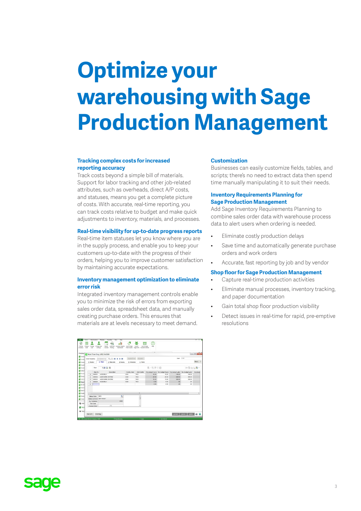# **Optimize your warehousing with Sage Production Management**

#### **Tracking complex costs for increased reporting accuracy**

Track costs beyond a simple bill of materials. Support for labor tracking and other job-related attributes, such as overheads, direct A/P costs, and statuses, means you get a complete picture of costs. With accurate, real-time reporting, you can track costs relative to budget and make quick adjustments to inventory, materials, and processes.

#### **Real-time visibility for up-to-date progress reports**

Real-time item statuses let you know where you are in the supply process, and enable you to keep your customers up-to-date with the progress of their orders, helping you to improve customer satisfaction by maintaining accurate expectations.

#### **Inventory management optimization to eliminate error risk**

Integrated inventory management controls enable you to minimize the risk of errors from exporting sales order data, spreadsheet data, and manually creating purchase orders. This ensures that materials are at levels necessary to meet demand.

| Modules!                             |                                           |             | Work Ticket Entry (JOB) 2/4/2019 |                   |               |                |       |       |                 |                                                                                 | $-10-0.5$ |
|--------------------------------------|-------------------------------------------|-------------|----------------------------------|-------------------|---------------|----------------|-------|-------|-----------------|---------------------------------------------------------------------------------|-----------|
| <b>NOON</b><br><b>E Custo</b>        | Work Ticket No.                           |             | Q<br>000000000182<br>14          | ٠<br>$\mathbf{H}$ | Copied From   | Defaults.      |       |       | User            | CAN                                                                             |           |
| <b>E Account</b>                     | 1. Header                                 |             | 2. Steps<br>2. Materials         | 4 Inquiry         | 5 Schedule    | 6. Totals      |       |       |                 |                                                                                 | More .    |
| <b>E Payrol</b><br><b>E Invert</b>   | $2 - 200 - 20$<br>: 四品 口<br>中最后也最一<br>Row |             |                                  |                   |               |                |       |       |                 |                                                                                 |           |
| <b>ES</b> Sales                      |                                           | Step No     | Description                      |                   | Activity Code | Work Center    |       |       |                 | Orig Budget Hours Rev Budget Hours Orig Budget Labor Rev Budget Labor Orig Budg |           |
| <b>E Purche</b>                      |                                           | coopen      | <b>ASSEMBLY</b>                  |                   | ASM           | WC1            | 10.00 | 10.00 | 100.00          | 100.00                                                                          |           |
| <b>E Return</b>                      | ä                                         | 000002      | ASH WORK CENTER2                 |                   | ASM           | WC2            | 20.00 | 20.00 | 400.00          | 400.00                                                                          |           |
| 급 26 대                               | $\mathcal{R}$                             | coopen      | ASII WORK CENTER2                |                   | ASIE          | WC2            | 15.00 | 15.00 | 300.00          | 300.00                                                                          |           |
| <b>E Head</b>                        | $\overline{a}$                            | 000004      | ASSEMBLY                         |                   | ASM           | WC1            | 0.00  | 0.00  | 50              | 50                                                                              |           |
| 云 bit off                            | š                                         |             |                                  |                   |               |                | 0.00  | 0.00  | 30 <sub>2</sub> | $50 -$                                                                          |           |
| <b>E Works</b><br><b>Ell</b> Soricio |                                           |             |                                  |                   |               |                |       |       |                 |                                                                                 |           |
| <b>E HONE</b>                        | e Li                                      |             |                                  |                   |               | $\overline{1}$ |       |       |                 |                                                                                 |           |
| <b>E Hated</b>                       |                                           | Status Code | NFW                              | ٩                 |               | ٠              |       |       |                 |                                                                                 |           |
| <b>E VIOLA</b>                       |                                           |             | Status Comment NEW TICKET        |                   |               |                |       |       |                 |                                                                                 |           |
|                                      | <b>Qty Completed</b>                      |             |                                  | ,0000             |               |                |       |       |                 |                                                                                 |           |
| <b>B</b> wet                         | <b>Teel Cede</b>                          |             |                                  |                   |               |                |       |       |                 |                                                                                 |           |
| <b>E Mod</b>                         | Change Order                              |             | $\Box$                           |                   |               |                |       |       |                 |                                                                                 |           |

#### **Customization**

Businesses can easily customize fields, tables, and scripts; there's no need to extract data then spend time manually manipulating it to suit their needs.

#### **Inventory Requirements Planning for Sage Production Management**

Add Sage Inventory Requirements Planning to combine sales order data with warehouse process data to alert users when ordering is needed.

- Eliminate costly production delays
- Save time and automatically generate purchase orders and work orders
- Accurate, fast reporting by job and by vendor

#### **Shop floor for Sage Production Management**

- Capture real-time production activities
- Eliminate manual processes, inventory tracking, and paper documentation
- Gain total shop floor production visibility
- Detect issues in real-time for rapid, pre-emptive resolutions

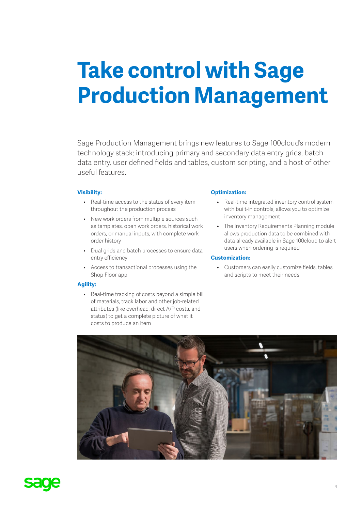## **Take control with Sage Production Management**

Sage Production Management brings new features to Sage 100cloud's modern technology stack; introducing primary and secondary data entry grids, batch data entry, user defined fields and tables, custom scripting, and a host of other useful features.

#### **Visibility:**

- Real-time access to the status of every item throughout the production process
- New work orders from multiple sources such as templates, open work orders, historical work orders, or manual inputs, with complete work order history
- Dual grids and batch processes to ensure data entry efficiency
- Access to transactional processes using the Shop Floor app

#### **Agility:**

• Real-time tracking of costs beyond a simple bill of materials, track labor and other job-related attributes (like overhead, direct A/P costs, and status) to get a complete picture of what it costs to produce an item

#### **Optimization:**

- Real-time integrated inventory control system with built-in controls, allows you to optimize inventory management
- The Inventory Requirements Planning module allows production data to be combined with data already available in Sage 100cloud to alert users when ordering is required

#### **Customization:**

• Customers can easily customize fields, tables and scripts to meet their needs